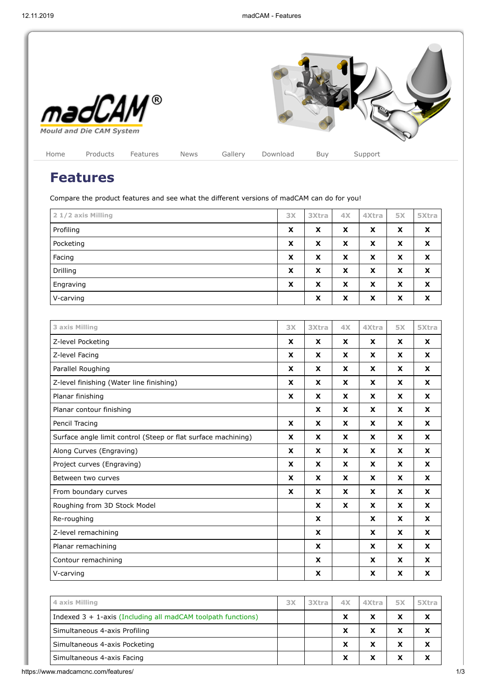

## **Features**

Compare the product features and see what the different versions of madCAM can do for you!

| 2 1/2 axis Milling | 3X | <b>3Xtra</b> | 4 <sub>X</sub> | 4Xtra | <b>5X</b> | 5Xtra |
|--------------------|----|--------------|----------------|-------|-----------|-------|
| Profiling          | X  | x            | X              | X     | X         | X     |
| Pocketing          | X  | x            | X              | X     | X         | X     |
| Facing             | X  | x            | X              | X     | X         | X     |
| Drilling           | X  | x            | X              | X     | X         | X     |
| Engraving          | X  | X            | X              | X     | X         | X     |
| V-carving          |    | X            | X              | X     | X         | X     |

| 3 axis Milling                                                | 3X | 3Xtra | 4X | 4Xtra | <b>5X</b>                 | 5Xtra            |
|---------------------------------------------------------------|----|-------|----|-------|---------------------------|------------------|
| Z-level Pocketing                                             | X  | X     | X  | X     | X                         | X                |
| Z-level Facing                                                | X  | X     | X  | X     | X                         | X                |
| Parallel Roughing                                             | X  | X     | X  | X     | X                         | X                |
| Z-level finishing (Water line finishing)                      | X  | X     | X  | X     | X                         | X                |
| Planar finishing                                              | X  | X     | X  | X     | X                         | X                |
| Planar contour finishing                                      |    | X     | X  | X     | $\mathbf{x}$              | X                |
| Pencil Tracing                                                | X  | X     | X  | X     | X                         | X                |
| Surface angle limit control (Steep or flat surface machining) | X  | X     | X  | X     | X                         | X                |
| Along Curves (Engraving)                                      | X  | X     | X  | X     | X                         | X                |
| Project curves (Engraving)                                    | X  | X     | X  | X     | X                         | $\boldsymbol{x}$ |
| Between two curves                                            | X  | X     | X  | X     | X                         | X                |
| From boundary curves                                          | X  | X     | X  | X     | $\boldsymbol{\mathsf{x}}$ | $\boldsymbol{x}$ |
| Roughing from 3D Stock Model                                  |    | X     | X  | X     | $\mathbf{x}$              | X                |
| Re-roughing                                                   |    | X     |    | X     | X                         | $\boldsymbol{x}$ |
| Z-level remachining                                           |    | X     |    | X     | $\mathbf{x}$              | X                |
| Planar remachining                                            |    | X     |    | X     | $\mathbf{x}$              | X                |
| Contour remachining                                           |    | X     |    | X     | $\mathbf{x}$              | X                |
| V-carving                                                     |    | X     |    | X     | X                         | X                |

| 4 axis Milling                                                  | 3X | 3Xtra | 4X | 4Xtra | 5X      | 5Xtra |
|-----------------------------------------------------------------|----|-------|----|-------|---------|-------|
| Indexed $3 + 1$ -axis (Including all madCAM toolpath functions) |    |       | x  | x     | v       |       |
| Simultaneous 4-axis Profiling                                   |    |       | X  | x     | v       |       |
| Simultaneous 4-axis Pocketing                                   |    |       | X  | x     | $\cdot$ |       |
| Simultaneous 4-axis Facing                                      |    |       | X  |       |         |       |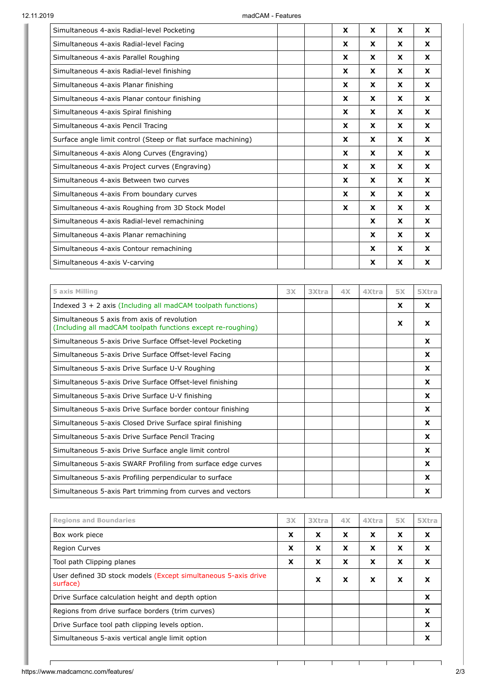| Simultaneous 4-axis Radial-level Pocketing                    | X        | X            | X | X |
|---------------------------------------------------------------|----------|--------------|---|---|
| Simultaneous 4-axis Radial-level Facing                       | <b>X</b> | X            | X | X |
| Simultaneous 4-axis Parallel Roughing                         | X        | $\mathbf{x}$ | X | X |
| Simultaneous 4-axis Radial-level finishing                    | X        | X            | X | X |
| Simultaneous 4-axis Planar finishing                          | X        | X            | X | X |
| Simultaneous 4-axis Planar contour finishing                  | X        | X            | X | X |
| Simultaneous 4-axis Spiral finishing                          | X        | X            | X | X |
| Simultaneous 4-axis Pencil Tracing                            | <b>X</b> | X            | X | X |
| Surface angle limit control (Steep or flat surface machining) | <b>X</b> | X            | X | X |
| Simultaneous 4-axis Along Curves (Engraving)                  | X        | X            | X | X |
| Simultaneous 4-axis Project curves (Engraving)                | <b>X</b> | X            | X | X |
| Simultaneous 4-axis Between two curves                        | <b>X</b> | X            | X | X |
| Simultaneous 4-axis From boundary curves                      | X        | X            | X | X |
| Simultaneous 4-axis Roughing from 3D Stock Model              | X        | X            | X | X |
| Simultaneous 4-axis Radial-level remachining                  |          | X            | X | X |
| Simultaneous 4-axis Planar remachining                        |          | X            | X | X |
| Simultaneous 4-axis Contour remachining                       |          | X            | X | X |
| Simultaneous 4-axis V-carving                                 |          | X            | X | X |

| 5 axis Milling                                                                                              | 3X | 3Xtra | 4X | 4Xtra | <b>5X</b> | 5Xtra    |
|-------------------------------------------------------------------------------------------------------------|----|-------|----|-------|-----------|----------|
| Indexed $3 + 2$ axis (Including all madCAM toolpath functions)                                              |    |       |    |       | X         | <b>X</b> |
| Simultaneous 5 axis from axis of revolution<br>(Including all madCAM toolpath functions except re-roughing) |    |       |    |       | X         | X        |
| Simultaneous 5-axis Drive Surface Offset-level Pocketing                                                    |    |       |    |       |           | X        |
| Simultaneous 5-axis Drive Surface Offset-level Facing                                                       |    |       |    |       |           | X        |
| Simultaneous 5-axis Drive Surface U-V Roughing                                                              |    |       |    |       |           | x        |
| Simultaneous 5-axis Drive Surface Offset-level finishing                                                    |    |       |    |       |           | X        |
| Simultaneous 5-axis Drive Surface U-V finishing                                                             |    |       |    |       |           | X        |
| Simultaneous 5-axis Drive Surface border contour finishing                                                  |    |       |    |       |           | x        |
| Simultaneous 5-axis Closed Drive Surface spiral finishing                                                   |    |       |    |       |           | X        |
| Simultaneous 5-axis Drive Surface Pencil Tracing                                                            |    |       |    |       |           | X        |
| Simultaneous 5-axis Drive Surface angle limit control                                                       |    |       |    |       |           | x        |
| Simultaneous 5-axis SWARF Profiling from surface edge curves                                                |    |       |    |       |           | X        |
| Simultaneous 5-axis Profiling perpendicular to surface                                                      |    |       |    |       |           | x        |
| Simultaneous 5-axis Part trimming from curves and vectors                                                   |    |       |    |       |           | X        |

| <b>Regions and Boundaries</b>                                              | 3X | <b>3Xtra</b> | 4X | 4Xtra | <b>5X</b> | 5Xtra |
|----------------------------------------------------------------------------|----|--------------|----|-------|-----------|-------|
| Box work piece                                                             | X  | x            | X  | X     | X         | X     |
| <b>Region Curves</b>                                                       | X  | x            | X  | X     | X         | X     |
| Tool path Clipping planes                                                  | X  | x            | X  | X     | X         | X     |
| User defined 3D stock models (Except simultaneous 5-axis drive<br>surface) |    | x            | X  | X     | X         | x     |
| Drive Surface calculation height and depth option                          |    |              |    |       |           | X     |
| Regions from drive surface borders (trim curves)                           |    |              |    |       |           | x     |
| Drive Surface tool path clipping levels option.                            |    |              |    |       |           | x     |
| Simultaneous 5-axis vertical angle limit option                            |    |              |    |       |           |       |

┑

Τ

Τ

Т

 $\Gamma$ 

┑

Τ

Τ